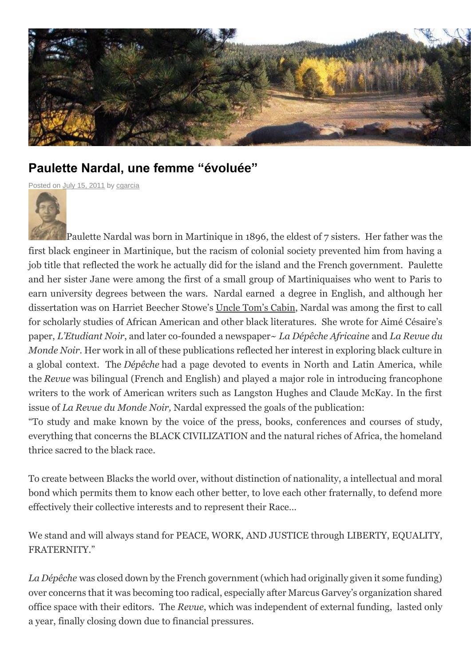

## **Paulette Nardal, une femme "évoluée"**

[Posted](http://sites.coloradocollege.edu/martinique/files/2011/07/Paulette-Nardal-Tiny.jpg) on **July 15, [2011](http://sites.coloradocollege.edu/martinique/2011/07/15/paulette-nardal-une-femme-evoluee/)** by [cgarcia](http://sites.coloradocollege.edu/martinique/author/cgarcia/)



Paulette Nardal was born in Martinique in 1896, the eldest of 7 sisters. Her father was the first black engineer in Martinique, but the racism of colonial society prevented him from having a job title that reflected the work he actually did for the island and the French government. Paulette and her sister Jane were among the first of a small group of Martiniquaises who went to Paris to earn university degrees between the wars. Nardal earned a degree in English, and although her dissertation was on Harriet Beecher Stowe's Uncle Tom's Cabin, Nardal was among the first to call for scholarly studies of African American and other black literatures. She wrote for Aimé Césaire's paper, *L'Etudiant Noir*, and later co-founded a newspaper~ *La Dépêche Africaine* and *La Revue du Monde Noir*. Her work in all of these publications reflected her interest in exploring black culture in a global context. The *Dépêche* had a page devoted to events in North and Latin America, while the *Revue* was bilingual (French and English) and played a major role in introducing francophone writers to the work of American writers such as Langston Hughes and Claude McKay. In the first issue of *La Revue du Monde Noir,* Nardal expressed the goals of the publication:

"To study and make known by the voice of the press, books, conferences and courses of study, everything that concerns the BLACK CIVILIZATION and the natural riches of Africa, the homeland thrice sacred to the black race.

To create between Blacks the world over, without distinction of nationality, a intellectual and moral bond which permits them to know each other better, to love each other fraternally, to defend more effectively their collective interests and to represent their Race…

We stand and will always stand for PEACE, WORK, AND JUSTICE through LIBERTY, EQUALITY, FRATERNITY."

*La Dépêche* was closed down by the French government (which had originally given it some funding) over concerns that it was becoming too radical, especially after Marcus Garvey's organization shared office space with their editors. The *Revue*, which was independent of external funding, lasted only a year, finally closing down due to financial pressures.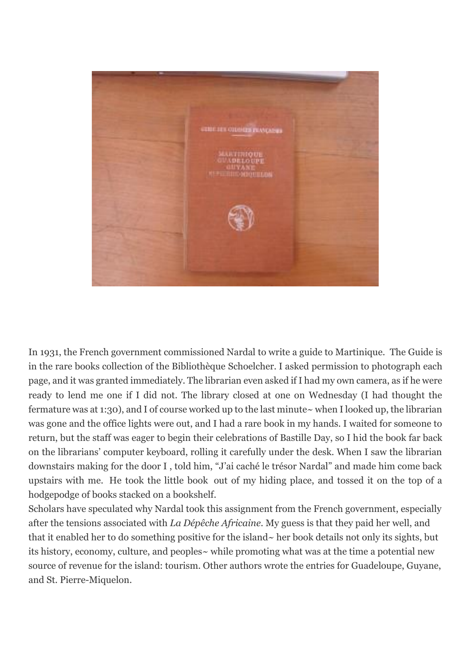

In 1931, the French government commissioned Nardal to write a guide to Martinique. The Guide is in the rare books collection of the Bibliothèque Schoelcher. I asked permission to photograph each page, and it was granted immediately. The librarian even asked if I had my own camera, as if he were ready to lend me one if I did not. The library closed at one on Wednesday (I had thought the fermature was at 1:30), and I of course worked up to the last minute~ when I looked up, the librarian was gone and the office lights were out, and I had a rare book in my hands. I waited for someone to return, but the staff was eager to begin their celebrations of Bastille Day, so I hid the book far back on the librarians' computer keyboard, rolling it carefully under the desk. When I saw the librarian downstairs making for the door I , told him, "J'ai caché le trésor Nardal" and made him come back upstairs with me. He took the little book out of my hiding place, and tossed it on the top of a hodgepodge of books stacked on a bookshelf.

Scholars have speculated why Nardal took this assignment from the French government, especially after the tensions associated with *La Dépêche Africaine*. My guess is that they paid her well, and that it enabled her to do something positive for the island~ her book details not only its sights, but its history, economy, culture, and peoples~ while promoting what was at the time a potential new source of revenue for the island: tourism. Other authors wrote the entries for Guadeloupe, Guyane, and St. Pierre-Miquelon.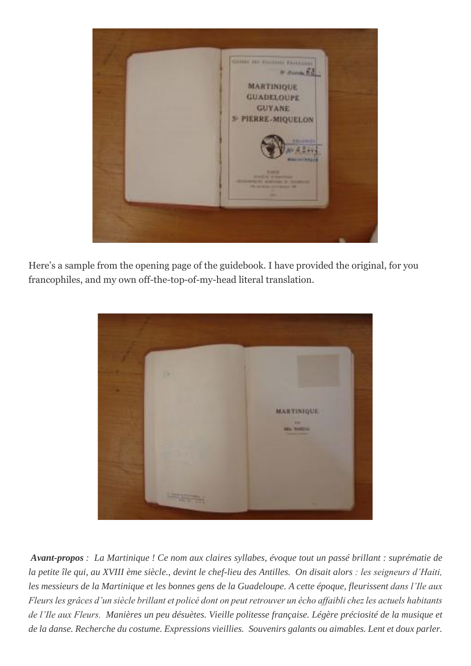

Here's a sample from the opening page of the guidebook. I have provided the original, for you francophiles, and my own off-the-top-of-my-head literal translation.



*Avant-propos : La Martinique ! Ce nom aux claires syllabes, évoque tout un passé brillant : suprématie de la petite île qui, au XVIII ème siècle., devint le chef-lieu des Antilles. On disait alors : les seigneurs d'Haiti, les messieurs de la Martinique et les bonnes gens de la Guadeloupe. A cette époque, fleurissent dans l'Ile aux Fleurs les grâces d'un siècle brillant et policé dont on peut retrouver un écho affaibli chez les actuels habitants de l'Ile aux Fleurs. Manières un peu désuètes. Vieille politesse française. Légère préciosité de la musique et de la danse. Recherche du costume. Expressions vieillies. Souvenirs galants ou aimables. Lent et doux parler.*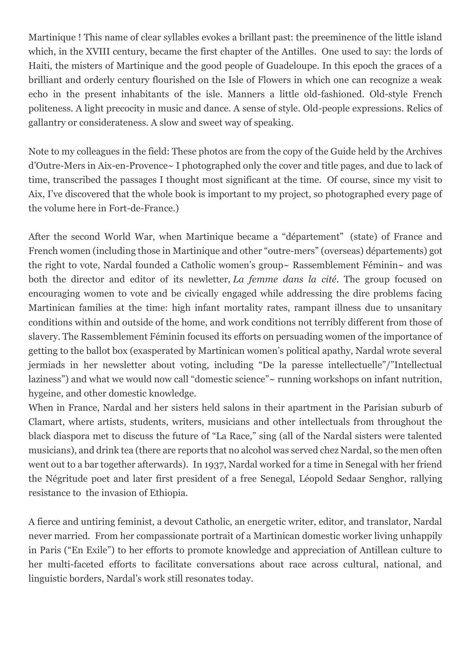Martinique ! This name of clear syllables evokes a brillant past: the preeminence of the little island which, in the XVIII century, became the first chapter of the Antilles. One used to say: the lords of Haiti, the misters of Martinique and the good people of Guadeloupe. In this epoch the graces of a brilliant and orderly century flourished on the Isle of Flowers in which one can recognize a weak echo in the present inhabitants of the isle. Manners a little old-fashioned. Old-style French politeness. A light precocity in music and dance. A sense of style. Old-people expressions. Relics of gallantry or considerateness. A slow and sweet way of speaking.

Note to my colleagues in the field: These photos are from the copy of the Guide held by the Archives d'Outre-Mers in Aix-en-Provence~ I photographed only the cover and title pages, and due to lack of time, transcribed the passages I thought most significant at the time. Of course, since my visit to Aix, I've discovered that the whole book is important to my project, so photographed every page of the volume here in Fort-de-France.)

After the second World War, when Martinique became a "département" (state) of France and French women (including those in Martinique and other "outre-mers" (overseas) départements) got the right to vote, Nardal founded a Catholic women's group~ Rassemblement Féminin~ and was both the director and editor of its newletter, *La femme dans la cité*. The group focused on encouraging women to vote and be civically engaged while addressing the dire problems facing Martinican families at the time: high infant mortality rates, rampant illness due to unsanitary conditions within and outside of the home, and work conditions not terribly different from those of slavery. The Rassemblement Féminin focused its efforts on persuading women of the importance of getting to the ballot box (exasperated by Martinican women's political apathy, Nardal wrote several jermiads in her newsletter about voting, including "De la paresse intellectuelle"/"Intellectual laziness") and what we would now call "domestic science"~ running workshops on infant nutrition, hygeine, and other domestic knowledge.

When in France, Nardal and her sisters held salons in their apartment in the Parisian suburb of Clamart, where artists, students, writers, musicians and other intellectuals from throughout the black diaspora met to discuss the future of "La Race," sing (all of the Nardal sisters were talented musicians), and drink tea (there are reports that no alcohol was served chez Nardal, so the men often went out to a bar together afterwards). In 1937, Nardal worked for a time in Senegal with her friend the Négritude poet and later first president of a free Senegal, Léopold Sedaar Senghor, rallying resistance to the invasion of Ethiopia.

A fierce and untiring feminist, a devout Catholic, an energetic writer, editor, and translator, Nardal never married. From her compassionate portrait of a Martinican domestic worker living unhappily in Paris ("En Exile") to her efforts to promote knowledge and appreciation of Antillean culture to her multi-faceted efforts to facilitate conversations about race across cultural, national, and linguistic borders, Nardal's work still resonates today.